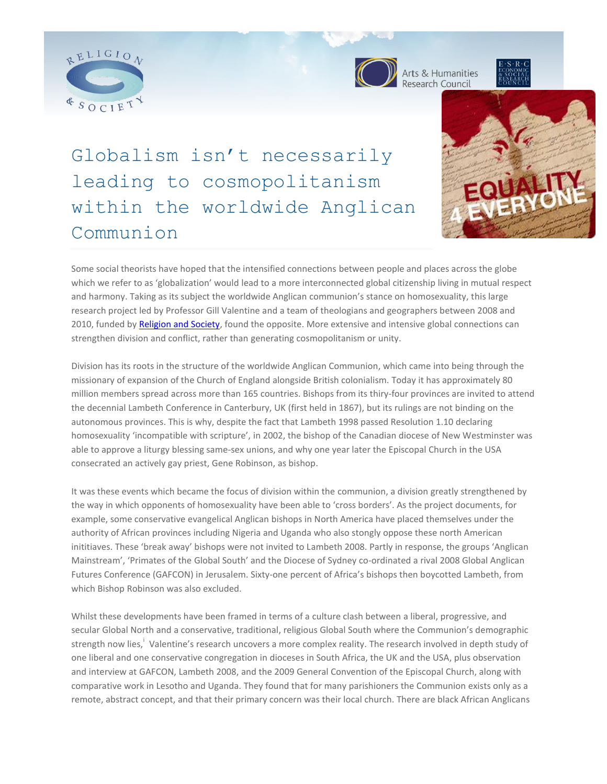



Arts & Humanities



Globalism isn't necessarily leading to cosmopolitanism within the worldwide Anglican Communion



Some social theorists have hoped that the intensified connections between people and places across the globe which we refer to as 'globalization' would lead to a more interconnected global citizenship living in mutual respect and harmony. Taking as its subject the worldwide Anglican communion's stance on homosexuality, this large research project led by Professor Gill Valentine and a team of theologians and geographers between 2008 and 2010, funded b[y Religion and Society,](http://www.religionandsociety.org.uk/) found the opposite. More extensive and intensive global connections can strengthen division and conflict, rather than generating cosmopolitanism or unity.

Division has its roots in the structure of the worldwide Anglican Communion, which came into being through the missionary of expansion of the Church of England alongside British colonialism. Today it has approximately 80 million members spread across more than 165 countries. Bishops from its thiry-four provinces are invited to attend the decennial Lambeth Conference in Canterbury, UK (first held in 1867), but its rulings are not binding on the autonomous provinces. This is why, despite the fact that Lambeth 1998 passed Resolution 1.10 declaring homosexuality 'incompatible with scripture', in 2002, the bishop of the Canadian diocese of New Westminster was able to approve a liturgy blessing same-sex unions, and why one year later the Episcopal Church in the USA consecrated an actively gay priest, Gene Robinson, as bishop.

It was these events which became the focus of division within the communion, a division greatly strengthened by the way in which opponents of homosexuality have been able to 'cross borders'. As the project documents, for example, some conservative evangelical Anglican bishops in North America have placed themselves under the authority of African provinces including Nigeria and Uganda who also stongly oppose these north American inititiaves. These 'break away' bishops were not invited to Lambeth 2008. Partly in response, the groups 'Anglican Mainstream', 'Primates of the Global South' and the Diocese of Sydney co-ordinated a rival 2008 Global Anglican Futures Conference (GAFCON) in Jerusalem. Sixty-one percent of Africa's bishops then boycotted Lambeth, from which Bishop Robinson was also excluded.

Whilst these developments have been framed in terms of a culture clash between a liberal, progressive, and secular Global North and a conservative, traditional, religious Global South where the Communion's demographic strength now lies,<sup>i</sup> Valentine's research uncovers a more complex reality. The research involved in depth study of one liberal and one conservative congregation in dioceses in South Africa, the UK and the USA, plus observation and interview at GAFCON, Lambeth 2008, and the 2009 General Convention of the Episcopal Church, along with comparative work in Lesotho and Uganda. They found that for many parishioners the Communion exists only as a remote, abstract concept, and that their primary concern was their local church. There are black African Anglicans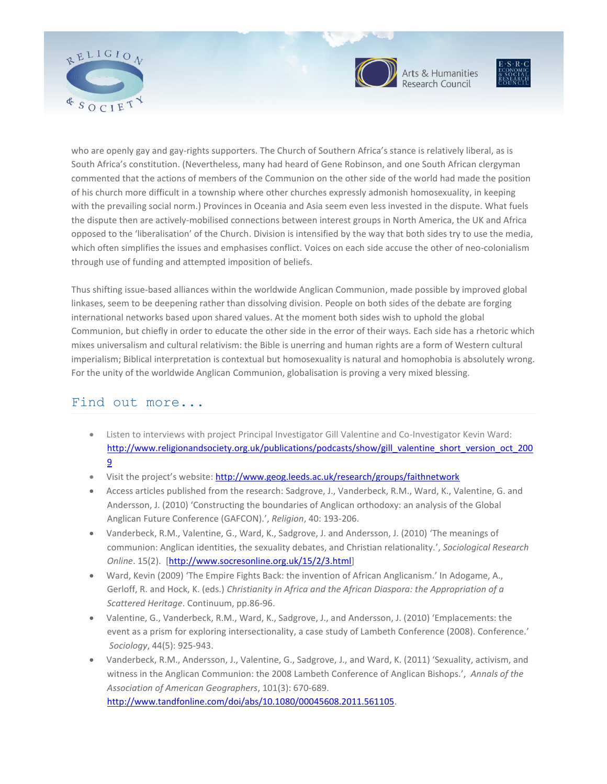



Arts & Humanities<br>Research Council



who are openly gay and gay-rights supporters. The Church of Southern Africa's stance is relatively liberal, as is South Africa's constitution. (Nevertheless, many had heard of Gene Robinson, and one South African clergyman commented that the actions of members of the Communion on the other side of the world had made the position of his church more difficult in a township where other churches expressly admonish homosexuality, in keeping with the prevailing social norm.) Provinces in Oceania and Asia seem even less invested in the dispute. What fuels the dispute then are actively-mobilised connections between interest groups in North America, the UK and Africa opposed to the 'liberalisation' of the Church. Division is intensified by the way that both sides try to use the media, which often simplifies the issues and emphasises conflict. Voices on each side accuse the other of neo-colonialism through use of funding and attempted imposition of beliefs.

Thus shifting issue-based alliances within the worldwide Anglican Communion, made possible by improved global linkases, seem to be deepening rather than dissolving division. People on both sides of the debate are forging international networks based upon shared values. At the moment both sides wish to uphold the global Communion, but chiefly in order to educate the other side in the error of their ways. Each side has a rhetoric which mixes universalism and cultural relativism: the Bible is unerring and human rights are a form of Western cultural imperialism; Biblical interpretation is contextual but homosexuality is natural and homophobia is absolutely wrong. For the unity of the worldwide Anglican Communion, globalisation is proving a very mixed blessing.

## Find out more...

- Listen to interviews with project Principal Investigator Gill Valentine and Co-Investigator Kevin Ward: [http://www.religionandsociety.org.uk/publications/podcasts/show/gill\\_valentine\\_short\\_version\\_oct\\_200](http://www.religionandsociety.org.uk/publications/podcasts/show/gill_valentine_short_version_oct_2009) [9](http://www.religionandsociety.org.uk/publications/podcasts/show/gill_valentine_short_version_oct_2009)
- Visit the project's website: <http://www.geog.leeds.ac.uk/research/groups/faithnetwork>
- Access articles published from the research: Sadgrove, J., Vanderbeck, R.M., Ward, K., Valentine, G. and Andersson, J. (2010) 'Constructing the boundaries of Anglican orthodoxy: an analysis of the Global Anglican Future Conference (GAFCON).', *Religion*, 40: 193-206.
- Vanderbeck, R.M., Valentine, G., Ward, K., Sadgrove, J. and Andersson, J. (2010) 'The meanings of communion: Anglican identities, the sexuality debates, and Christian relationality.', *Sociological Research Online*. 15(2). [\[http://www.socresonline.org.uk/15/2/3.html\]](http://www.socresonline.org.uk/15/2/3.html)
- Ward, Kevin (2009) 'The Empire Fights Back: the invention of African Anglicanism.' In Adogame, A., Gerloff, R. and Hock, K. (eds.) *Christianity in Africa and the African Diaspora: the Appropriation of a Scattered Heritage*. Continuum, pp.86-96.
- Valentine, G., Vanderbeck, R.M., Ward, K., Sadgrove, J., and Andersson, J. (2010) 'Emplacements: the event as a prism for exploring intersectionality, a case study of Lambeth Conference (2008). Conference.' *Sociology*, 44(5): 925-943.
- Vanderbeck, R.M., Andersson, J., Valentine, G., Sadgrove, J., and Ward, K. (2011) 'Sexuality, activism, and witness in the Anglican Communion: the 2008 Lambeth Conference of Anglican Bishops.', *Annals of the Association of American Geographers*, 101(3): 670-689. [http://www.tandfonline.com/doi/abs/10.1080/00045608.2011.561105.](http://www.tandfonline.com/doi/abs/10.1080/00045608.2011.561105)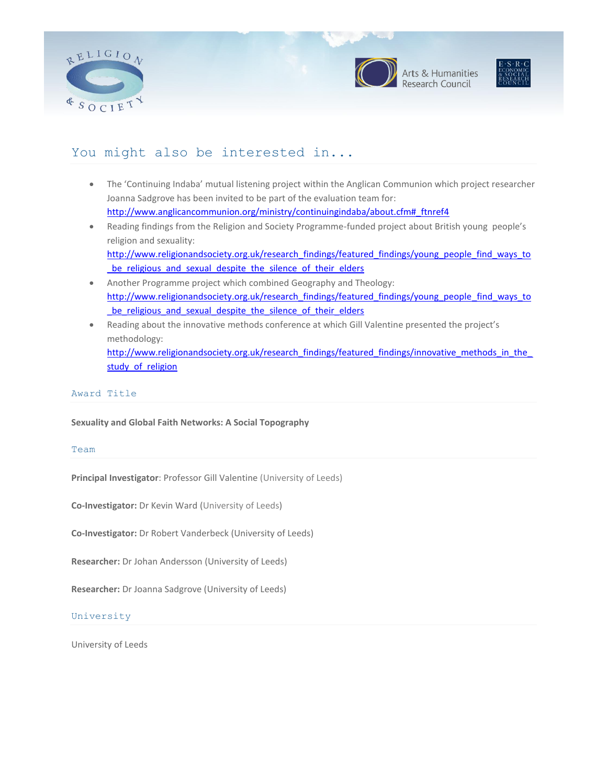





# You might also be interested in...

- The 'Continuing Indaba' mutual listening project within the Anglican Communion which project researcher Joanna Sadgrove has been invited to be part of the evaluation team for: [http://www.anglicancommunion.org/ministry/continuingindaba/about.cfm#\\_ftnref4](http://www.anglicancommunion.org/ministry/continuingindaba/about.cfm#_ftnref4)
- Reading findings from the Religion and Society Programme-funded project about British young people's religion and sexuality: [http://www.religionandsociety.org.uk/research\\_findings/featured\\_findings/young\\_people\\_find\\_ways\\_to](http://www.religionandsociety.org.uk/research_findings/featured_findings/young_people_find_ways_to_be_religious_and_sexual_despite_the_silence_of_their_elders) be religious and sexual despite the silence of their elders
- Another Programme project which combined Geography and Theology: [http://www.religionandsociety.org.uk/research\\_findings/featured\\_findings/young\\_people\\_find\\_ways\\_to](http://www.religionandsociety.org.uk/research_findings/featured_findings/young_people_find_ways_to_be_religious_and_sexual_despite_the_silence_of_their_elders) be religious and sexual despite the silence of their elders
- Reading about the innovative methods conference at which Gill Valentine presented the project's methodology: [http://www.religionandsociety.org.uk/research\\_findings/featured\\_findings/innovative\\_methods\\_in\\_the\\_](http://www.religionandsociety.org.uk/research_findings/featured_findings/innovative_methods_in_the_study_of_religion) study of religion

### Award Title

**Sexuality and Global Faith Networks: A Social Topography**

#### Team

**Principal Investigator**: Professor Gill Valentine (University of Leeds)

**Co-Investigator:** Dr Kevin Ward (University of Leeds)

**Co-Investigator:** Dr Robert Vanderbeck (University of Leeds)

**Researcher:** Dr Johan Andersson (University of Leeds)

**Researcher:** Dr Joanna Sadgrove (University of Leeds)

#### University

University of Leeds